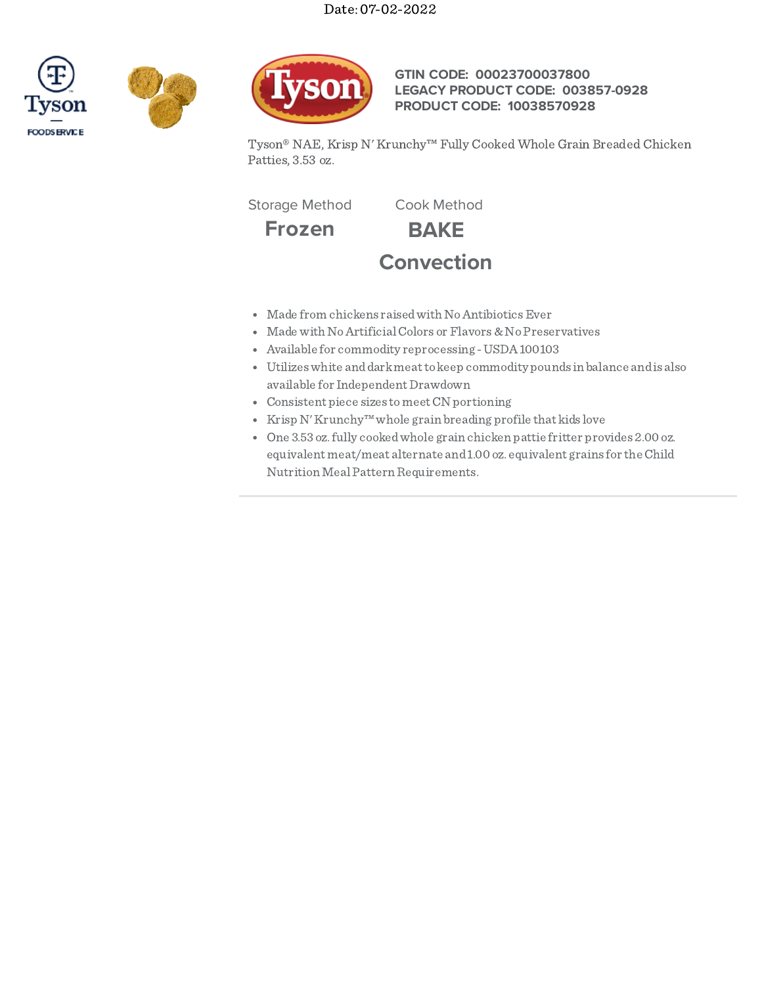





**GTIN CODE: 00023700037800 LEGACY PRODUCT CODE: 003857-0928 PRODUCT CODE: 10038570928**

Tyson® NAE, Krisp N' Krunchy™ Fully Cooked Whole Grain Breaded Chicken Patties, 3.53 oz.

Storage Method Cook Method



- Made from chickens raised with No Antibiotics Ever
- Made with No Artificial Colors or Flavors & No Preservatives
- Available for commodity reprocessing -USDA100103
- Utilizeswhite anddarkmeatto keep commodity pounds in balance andis also available for Independent Drawdown
- Consistent piece sizes tomeetCN portioning
- Krisp N'Krunchy™ whole grain breading profile that kids love
- One 3.53oz.fully cookedwhole grain chicken pattie fritter provides 2.00 oz. equivalent meat/meat alternate and1.00 oz. equivalent grains for theChild Nutrition Meal Pattern Requirements.